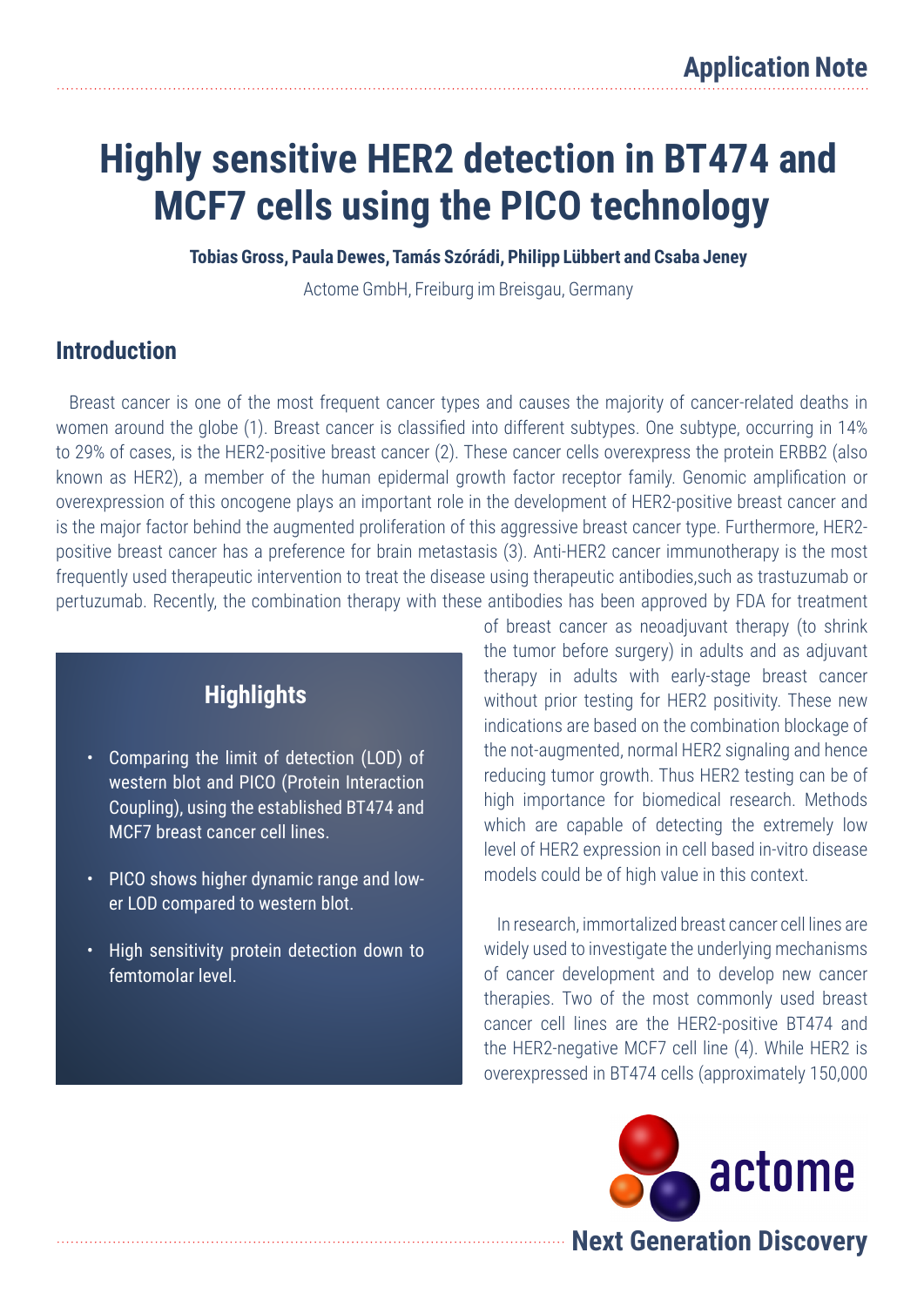# **Highly sensitive HER2 detection in BT474 and MCF7 cells using the PICO technology**

**Tobias Gross, Paula Dewes, Tamás Szórádi, Philipp Lübbert and Csaba Jeney**

Actome GmbH, Freiburg im Breisgau, Germany

### **Introduction**

Breast cancer is one of the most frequent cancer types and causes the majority of cancer-related deaths in women around the globe (1). Breast cancer is classified into different subtypes. One subtype, occurring in 14% to 29% of cases, is the HER2-positive breast cancer (2). These cancer cells overexpress the protein ERBB2 (also known as HER2), a member of the human epidermal growth factor receptor family. Genomic amplification or overexpression of this oncogene plays an important role in the development of HER2-positive breast cancer and is the major factor behind the augmented proliferation of this aggressive breast cancer type. Furthermore, HER2 positive breast cancer has a preference for brain metastasis (3). Anti-HER2 cancer immunotherapy is the most frequently used therapeutic intervention to treat the disease using therapeutic antibodies,such as trastuzumab or pertuzumab. Recently, the combination therapy with these antibodies has been approved by FDA for treatment

### **Highlights**

- Comparing the limit of detection (LOD) of western blot and PICO (Protein Interaction Coupling), using the established BT474 and MCF7 breast cancer cell lines.
- PICO shows higher dynamic range and lower LOD compared to western blot.
- High sensitivity protein detection down to femtomolar level.

of breast cancer as neoadjuvant therapy (to shrink the tumor before surgery) in adults and as adjuvant therapy in adults with early-stage breast cancer without prior testing for HER2 positivity. These new indications are based on the combination blockage of the not-augmented, normal HER2 signaling and hence reducing tumor growth. Thus HER2 testing can be of high importance for biomedical research. Methods which are capable of detecting the extremely low level of HER2 expression in cell based in-vitro disease models could be of high value in this context.

In research, immortalized breast cancer cell lines are widely used to investigate the underlying mechanisms of cancer development and to develop new cancer therapies. Two of the most commonly used breast cancer cell lines are the HER2-positive BT474 and the HER2-negative MCF7 cell line (4). While HER2 is overexpressed in BT474 cells (approximately 150,000

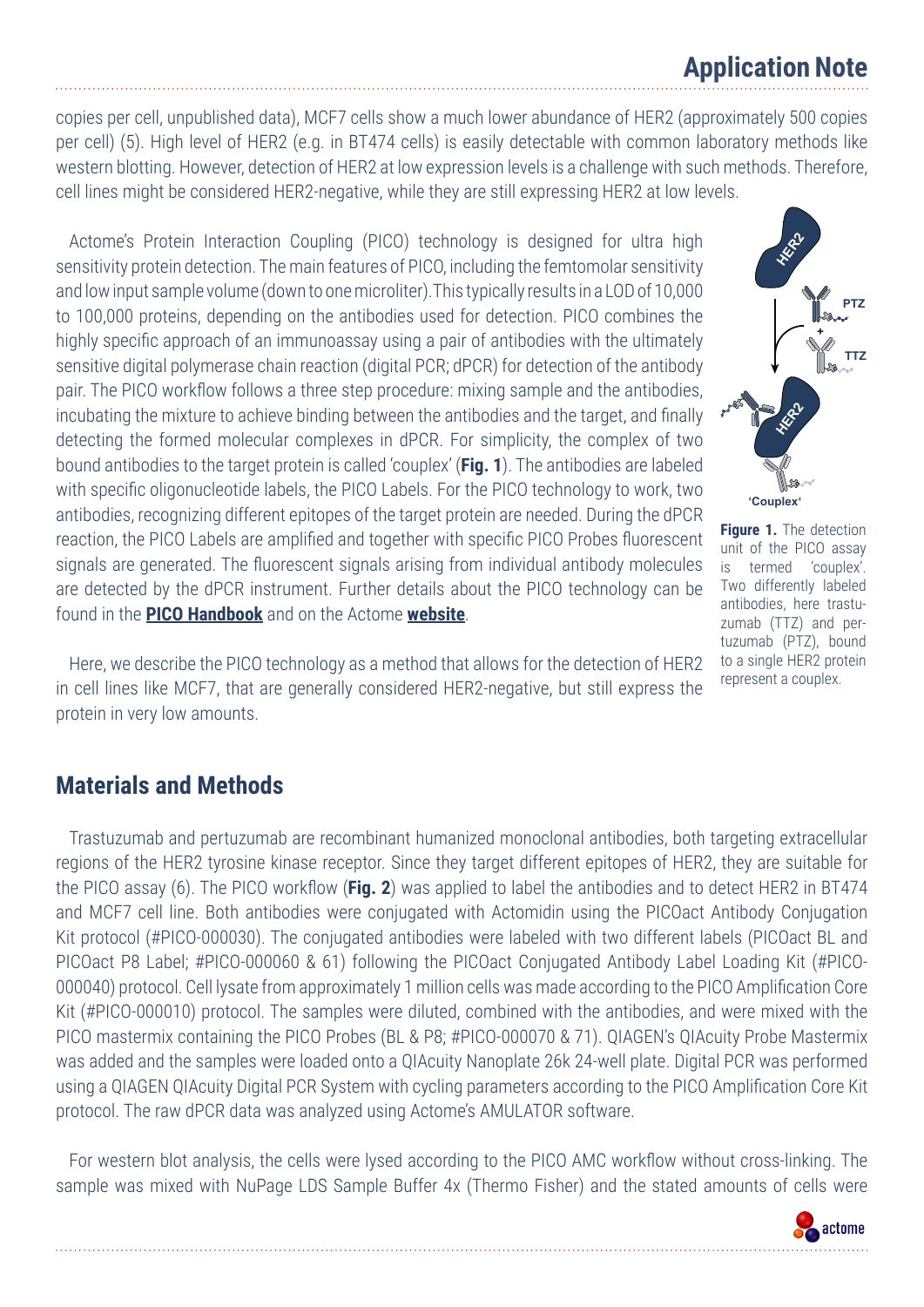### **Application Note**

copies per cell, unpublished data), MCF7 cells show a much lower abundance of HER2 (approximately 500 copies per cell) (5). High level of HER2 (e.g. in BT474 cells) is easily detectable with common laboratory methods like western blotting. However, detection of HER2 at low expression levels is a challenge with such methods. Therefore, cell lines might be considered HER2-negative, while they are still expressing HER2 at low levels.

Actome's Protein Interaction Coupling (PICO) technology is designed for ultra high sensitivity protein detection. The main features of PICO, including the femtomolar sensitivity and low input sample volume (down to one microliter).This typically results in a LOD of 10,000 to 100,000 proteins, depending on the antibodies used for detection. PICO combines the highly specific approach of an immunoassay using a pair of antibodies with the ultimately sensitive digital polymerase chain reaction (digital PCR; dPCR) for detection of the antibody pair. The PICO workflow follows a three step procedure: mixing sample and the antibodies, incubating the mixture to achieve binding between the antibodies and the target, and finally detecting the formed molecular complexes in dPCR. For simplicity, the complex of two bound antibodies to the target protein is called 'couplex' (**Fig. 1**). The antibodies are labeled with specific oligonucleotide labels, the PICO Labels. For the PICO technology to work, two antibodies, recognizing different epitopes of the target protein are needed. During the dPCR reaction, the PICO Labels are amplified and together with specific PICO Probes fluorescent signals are generated. The fluorescent signals arising from individual antibody molecules are detected by the dPCR instrument. Further details about the PICO technology can be found in the **[PICO Handbook](https://firebasestorage.googleapis.com/v0/b/actionist-56b88.appspot.com/o/download%2FUser%20manuals%2FPICO_Handbook.pdf?alt=media)** and on the Actome **[website](https://www.actome.de)**.

Here, we describe the PICO technology as a method that allows for the detection of HER2 in cell lines like MCF7, that are generally considered HER2-negative, but still express the protein in very low amounts.

#### **Materials and Methods**

Trastuzumab and pertuzumab are recombinant humanized monoclonal antibodies, both targeting extracellular regions of the HER2 tyrosine kinase receptor. Since they target different epitopes of HER2, they are suitable for the PICO assay (6). The PICO workflow (**Fig. 2**) was applied to label the antibodies and to detect HER2 in BT474 and MCF7 cell line. Both antibodies were conjugated with Actomidin using the PICOact Antibody Conjugation Kit protocol (#PICO-000030). The conjugated antibodies were labeled with two different labels (PICOact BL and PICOact P8 Label; #PICO-000060 & 61) following the PICOact Conjugated Antibody Label Loading Kit (#PICO-000040) protocol. Cell lysate from approximately 1 million cells was made according to the PICO Amplification Core Kit (#PICO-000010) protocol. The samples were diluted, combined with the antibodies, and were mixed with the PICO mastermix containing the PICO Probes (BL & P8; #PICO-000070 & 71). QIAGEN's QIAcuity Probe Mastermix was added and the samples were loaded onto a QIAcuity Nanoplate 26k 24-well plate. Digital PCR was performed using a QIAGEN QIAcuity Digital PCR System with cycling parameters according to the PICO Amplification Core Kit protocol. The raw dPCR data was analyzed using Actome's AMULATOR software.

For western blot analysis, the cells were lysed according to the PICO AMC workflow without cross-linking. The sample was mixed with NuPage LDS Sample Buffer 4x (Thermo Fisher) and the stated amounts of cells were



**Figure 1.** The detection unit of the PICO assay is termed 'couplex'. Two differently labeled antibodies, here trastuzumab (TTZ) and pertuzumab (PTZ), bound to a single HER2 protein represent a couplex.

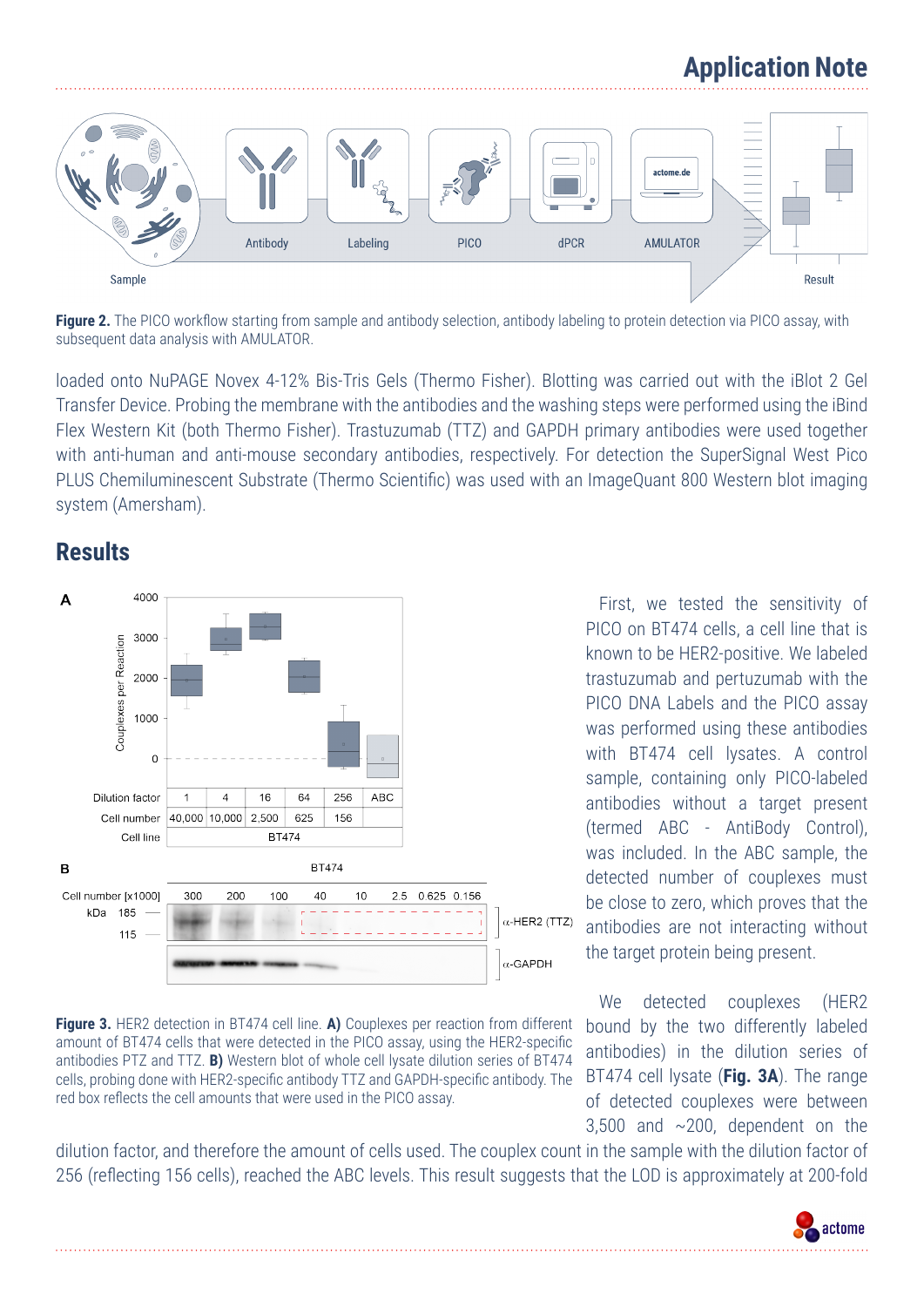## **Application Note**



**Figure 2.** The PICO workflow starting from sample and antibody selection, antibody labeling to protein detection via PICO assay, with subsequent data analysis with AMULATOR.

loaded onto NuPAGE Novex 4-12% Bis-Tris Gels (Thermo Fisher). Blotting was carried out with the iBlot 2 Gel Transfer Device. Probing the membrane with the antibodies and the washing steps were performed using the iBind Flex Western Kit (both Thermo Fisher). Trastuzumab (TTZ) and GAPDH primary antibodies were used together with anti-human and anti-mouse secondary antibodies, respectively. For detection the SuperSignal West Pico PLUS Chemiluminescent Substrate (Thermo Scientific) was used with an ImageQuant 800 Western blot imaging system (Amersham).

### **Results**



**Figure 3.** HER2 detection in BT474 cell line. **A)** Couplexes per reaction from different amount of BT474 cells that were detected in the PICO assay, using the HER2-specific antibodies PTZ and TTZ. **B)** Western blot of whole cell lysate dilution series of BT474 cells, probing done with HER2-specific antibody TTZ and GAPDH-specific antibody. The red box reflects the cell amounts that were used in the PICO assay.

First, we tested the sensitivity of PICO on BT474 cells, a cell line that is known to be HER2-positive. We labeled trastuzumab and pertuzumab with the PICO DNA Labels and the PICO assay was performed using these antibodies with BT474 cell lysates. A control sample, containing only PICO-labeled antibodies without a target present (termed ABC - AntiBody Control), was included. In the ABC sample, the detected number of couplexes must be close to zero, which proves that the antibodies are not interacting without the target protein being present.

We detected couplexes (HER2 bound by the two differently labeled antibodies) in the dilution series of BT474 cell lysate (**Fig. 3A**). The range of detected couplexes were between 3,500 and ~200, dependent on the

dilution factor, and therefore the amount of cells used. The couplex count in the sample with the dilution factor of 256 (reflecting 156 cells), reached the ABC levels. This result suggests that the LOD is approximately at 200-fold

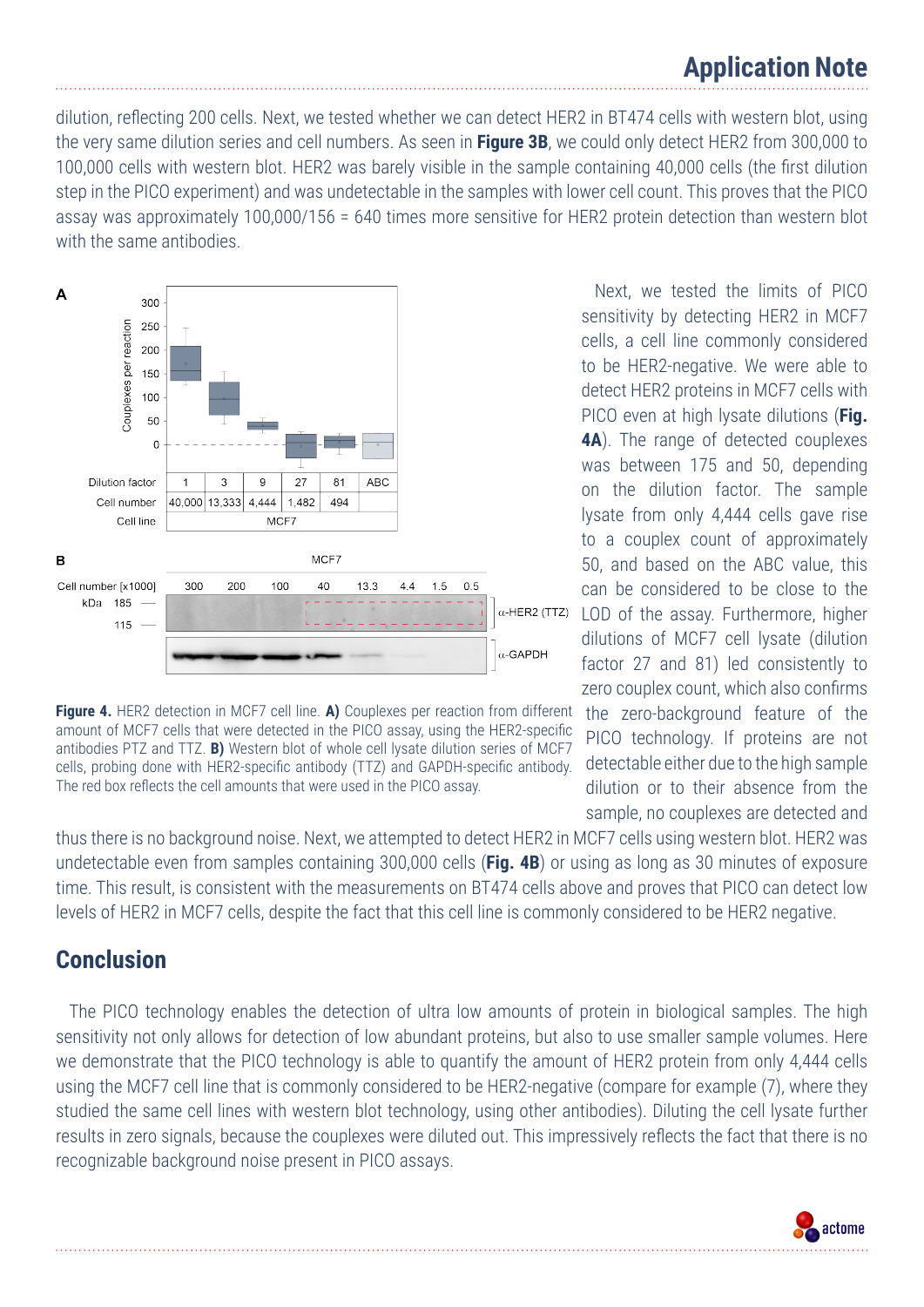dilution, reflecting 200 cells. Next, we tested whether we can detect HER2 in BT474 cells with western blot, using the very same dilution series and cell numbers. As seen in **Figure 3B**, we could only detect HER2 from 300,000 to 100,000 cells with western blot. HER2 was barely visible in the sample containing 40,000 cells (the first dilution step in the PICO experiment) and was undetectable in the samples with lower cell count. This proves that the PICO assay was approximately 100,000/156 = 640 times more sensitive for HER2 protein detection than western blot with the same antibodies.





thus there is no background noise. Next, we attempted to detect HER2 in MCF7 cells using western blot. HER2 was undetectable even from samples containing 300,000 cells (**Fig. 4B**) or using as long as 30 minutes of exposure time. This result, is consistent with the measurements on BT474 cells above and proves that PICO can detect low levels of HER2 in MCF7 cells, despite the fact that this cell line is commonly considered to be HER2 negative.

### **Conclusion**

The PICO technology enables the detection of ultra low amounts of protein in biological samples. The high sensitivity not only allows for detection of low abundant proteins, but also to use smaller sample volumes. Here we demonstrate that the PICO technology is able to quantify the amount of HER2 protein from only 4,444 cells using the MCF7 cell line that is commonly considered to be HER2-negative (compare for example (7), where they studied the same cell lines with western blot technology, using other antibodies). Diluting the cell lysate further results in zero signals, because the couplexes were diluted out. This impressively reflects the fact that there is no recognizable background noise present in PICO assays.

Next, we tested the limits of PICO sensitivity by detecting HER2 in MCF7 cells, a cell line commonly considered to be HER2-negative. We were able to detect HER2 proteins in MCF7 cells with PICO even at high lysate dilutions (**Fig. 4A**). The range of detected couplexes was between 175 and 50, depending on the dilution factor. The sample lysate from only 4,444 cells gave rise to a couplex count of approximately 50, and based on the ABC value, this can be considered to be close to the LOD of the assay. Furthermore, higher dilutions of MCF7 cell lysate (dilution factor 27 and 81) led consistently to zero couplex count, which also confirms the zero-background feature of the PICO technology. If proteins are not detectable either due to the high sample dilution or to their absence from the sample, no couplexes are detected and